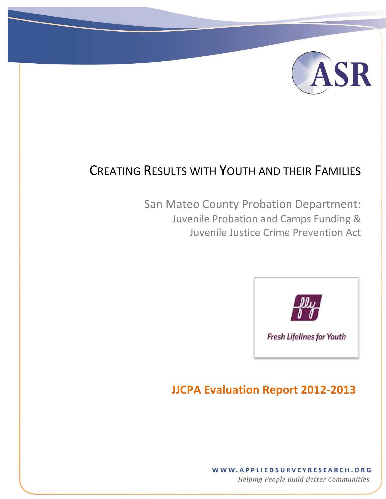

## CREATING RESULTS WITH YOUTH AND THEIR FAMILIES

[Type text] [Type text] [Type text] [Type text] [Type text] [Type text] [Type text] [Type text] [Type text] [Type text] [Type text] [Type text] [Type text] [Type text] [Type text] [Type text] [Type text] [Type text] [Type

San Mateo County Probation Department: Juvenile Probation and Camps Funding & Juvenile Justice Crime Prevention Act



## **JJCPA Evaluation Report 2012-2013**

WWW.APPLIEDSURVEYRESEARCH.ORG

Helping People Build Better Communities.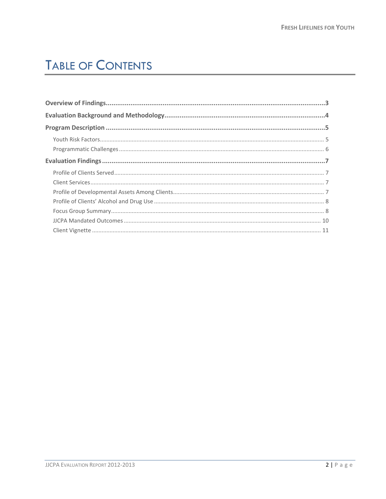# **TABLE OF CONTENTS**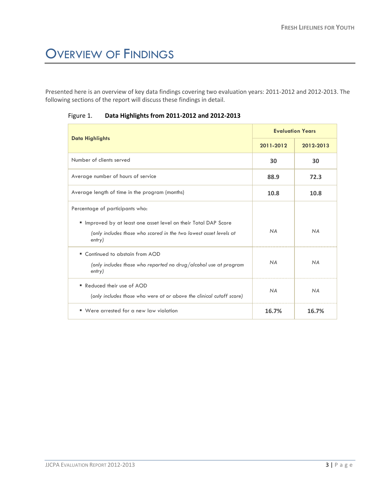# <span id="page-2-0"></span>OVERVIEW OF FINDINGS

Presented here is an overview of key data findings covering two evaluation years: 2011-2012 and 2012-2013. The following sections of the report will discuss these findings in detail.

|                                                                                                                                                | <b>Evaluation Years</b> |           |
|------------------------------------------------------------------------------------------------------------------------------------------------|-------------------------|-----------|
| <b>Data Highlights</b>                                                                                                                         | 2011-2012               | 2012-2013 |
| Number of clients served                                                                                                                       | 30                      | 30        |
| Average number of hours of service                                                                                                             | 88.9                    | 72.3      |
| Average length of time in the program (months)                                                                                                 | 10.8                    | 10.8      |
| Percentage of participants who:                                                                                                                |                         |           |
| " Improved by at least one asset level on their Total DAP Score<br>(only includes those who scored in the two lowest asset levels at<br>entry) | <b>NA</b>               | <b>NA</b> |
| ■ Continued to abstain from AOD<br>(only includes those who reported no drug/alcohol use at program<br>entry)                                  | <b>NA</b>               | <b>NA</b> |
| Reduced their use of AOD<br>(only includes those who were at or above the clinical cutoff score)                                               | <b>NA</b>               | <b>NA</b> |
| Were arrested for a new law violation<br>٠                                                                                                     | 16.7%                   | 16.7%     |

Figure 1. **Data Highlights from 2011-2012 and 2012-2013**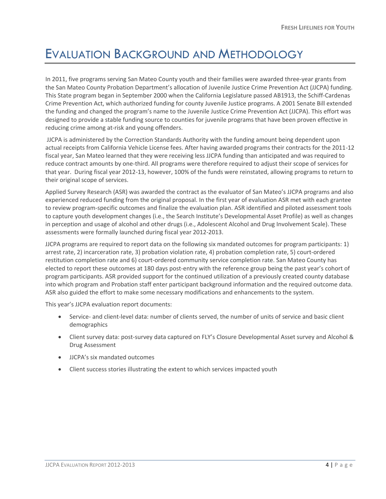## <span id="page-3-0"></span>EVALUATION BACKGROUND AND METHODOLOGY

In 2011, five programs serving San Mateo County youth and their families were awarded three-year grants from the San Mateo County Probation Department's allocation of Juvenile Justice Crime Prevention Act (JJCPA) funding. This State program began in September 2000 when the California Legislature passed AB1913, the Schiff-Cardenas Crime Prevention Act, which authorized funding for county Juvenile Justice programs. A 2001 Senate Bill extended the funding and changed the program's name to the Juvenile Justice Crime Prevention Act (JJCPA). This effort was designed to provide a stable funding source to counties for juvenile programs that have been proven effective in reducing crime among at-risk and young offenders.

JJCPA is administered by the Correction Standards Authority with the funding amount being dependent upon actual receipts from California Vehicle License fees. After having awarded programs their contracts for the 2011-12 fiscal year, San Mateo learned that they were receiving less JJCPA funding than anticipated and was required to reduce contract amounts by one-third. All programs were therefore required to adjust their scope of services for that year. During fiscal year 2012-13, however, 100% of the funds were reinstated, allowing programs to return to their original scope of services.

Applied Survey Research (ASR) was awarded the contract as the evaluator of San Mateo's JJCPA programs and also experienced reduced funding from the original proposal. In the first year of evaluation ASR met with each grantee to review program-specific outcomes and finalize the evaluation plan. ASR identified and piloted assessment tools to capture youth development changes (i.e., the Search Institute's Developmental Asset Profile) as well as changes in perception and usage of alcohol and other drugs (i.e., Adolescent Alcohol and Drug Involvement Scale). These assessments were formally launched during fiscal year 2012-2013.

JJCPA programs are required to report data on the following six mandated outcomes for program participants: 1) arrest rate, 2) incarceration rate, 3) probation violation rate, 4) probation completion rate, 5) court-ordered restitution completion rate and 6) court-ordered community service completion rate. San Mateo County has elected to report these outcomes at 180 days post-entry with the reference group being the past year's cohort of program participants. ASR provided support for the continued utilization of a previously created county database into which program and Probation staff enter participant background information and the required outcome data. ASR also guided the effort to make some necessary modifications and enhancements to the system.

This year's JJCPA evaluation report documents:

- Service- and client-level data: number of clients served, the number of units of service and basic client demographics
- Client survey data: post-survey data captured on FLY's Closure Developmental Asset survey and Alcohol & Drug Assessment
- JJCPA's six mandated outcomes
- Client success stories illustrating the extent to which services impacted youth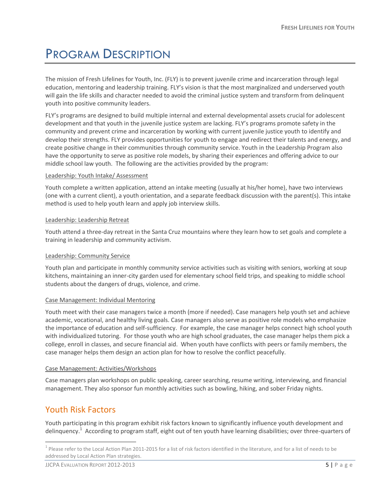# <span id="page-4-0"></span>PROGRAM DESCRIPTION

The mission of Fresh Lifelines for Youth, Inc. (FLY) is to prevent juvenile crime and incarceration through legal education, mentoring and leadership training. FLY's vision is that the most marginalized and underserved youth will gain the life skills and character needed to avoid the criminal justice system and transform from delinquent youth into positive community leaders.

FLY's programs are designed to build multiple internal and external developmental assets crucial for adolescent development and that youth in the juvenile justice system are lacking. FLY's programs promote safety in the community and prevent crime and incarceration by working with current juvenile justice youth to identify and develop their strengths. FLY provides opportunities for youth to engage and redirect their talents and energy, and create positive change in their communities through community service. Youth in the Leadership Program also have the opportunity to serve as positive role models, by sharing their experiences and offering advice to our middle school law youth. The following are the activities provided by the program:

#### Leadership: Youth Intake/ Assessment

Youth complete a written application, attend an intake meeting (usually at his/her home), have two interviews (one with a current client), a youth orientation, and a separate feedback discussion with the parent(s). This intake method is used to help youth learn and apply job interview skills.

#### Leadership: Leadership Retreat

Youth attend a three-day retreat in the Santa Cruz mountains where they learn how to set goals and complete a training in leadership and community activism.

#### Leadership: Community Service

Youth plan and participate in monthly community service activities such as visiting with seniors, working at soup kitchens, maintaining an inner-city garden used for elementary school field trips, and speaking to middle school students about the dangers of drugs, violence, and crime.

#### Case Management: Individual Mentoring

Youth meet with their case managers twice a month (more if needed). Case managers help youth set and achieve academic, vocational, and healthy living goals. Case managers also serve as positive role models who emphasize the importance of education and self-sufficiency. For example, the case manager helps connect high school youth with individualized tutoring. For those youth who are high school graduates, the case manager helps them pick a college, enroll in classes, and secure financial aid. When youth have conflicts with peers or family members, the case manager helps them design an action plan for how to resolve the conflict peacefully.

#### Case Management: Activities/Workshops

Case managers plan workshops on public speaking, career searching, resume writing, interviewing, and financial management. They also sponsor fun monthly activities such as bowling, hiking, and sober Friday nights.

## <span id="page-4-1"></span>Youth Risk Factors

 $\overline{a}$ 

Youth participating in this program exhibit risk factors known to significantly influence youth development and delinquency.<sup>1</sup> According to program staff, eight out of ten youth have learning disabilities; over three-quarters of

 $^1$  Please refer to the Local Action Plan 2011-2015 for a list of risk factors identified in the literature, and for a list of needs to be addressed by Local Action Plan strategies.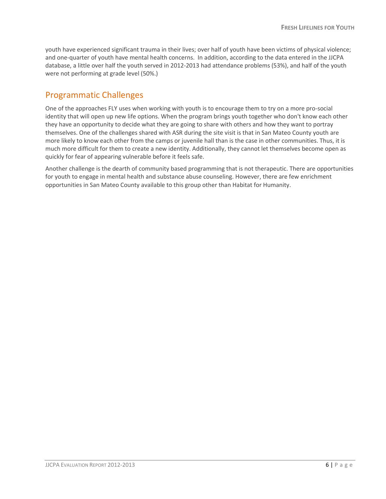youth have experienced significant trauma in their lives; over half of youth have been victims of physical violence; and one-quarter of youth have mental health concerns. In addition, according to the data entered in the JJCPA database, a little over half the youth served in 2012-2013 had attendance problems (53%), and half of the youth were not performing at grade level (50%.)

### <span id="page-5-0"></span>Programmatic Challenges

One of the approaches FLY uses when working with youth is to encourage them to try on a more pro-social identity that will open up new life options. When the program brings youth together who don't know each other they have an opportunity to decide what they are going to share with others and how they want to portray themselves. One of the challenges shared with ASR during the site visit is that in San Mateo County youth are more likely to know each other from the camps or juvenile hall than is the case in other communities. Thus, it is much more difficult for them to create a new identity. Additionally, they cannot let themselves become open as quickly for fear of appearing vulnerable before it feels safe.

Another challenge is the dearth of community based programming that is not therapeutic. There are opportunities for youth to engage in mental health and substance abuse counseling. However, there are few enrichment opportunities in San Mateo County available to this group other than Habitat for Humanity.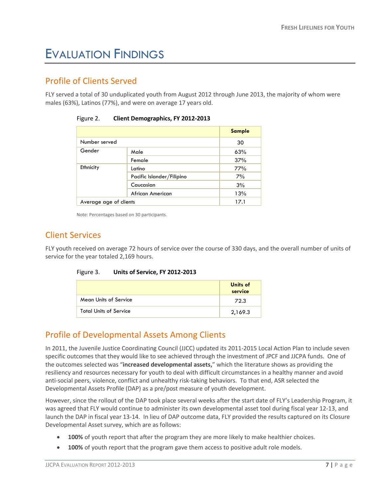## <span id="page-6-0"></span>EVALUATION FINDINGS

## <span id="page-6-1"></span>Profile of Clients Served

FLY served a total of 30 unduplicated youth from August 2012 through June 2013, the majority of whom were males (63%), Latinos (77%), and were on average 17 years old.

|                        |                           | <b>Sample</b> |
|------------------------|---------------------------|---------------|
| Number served          |                           | 30            |
| Gender                 | Male                      | 63%           |
|                        | Female                    | 37%           |
| Ethnicity              | Latino                    | 77%           |
|                        | Pacific Islander/Filipino | 7%            |
|                        | Caucasian                 | 3%            |
|                        | African American          | 13%           |
| Average age of clients |                           | 17.1          |

| Figure 2. | <b>Client Demographics, FY 2012-2013</b> |  |  |
|-----------|------------------------------------------|--|--|
|-----------|------------------------------------------|--|--|

Note: Percentages based on 30 participants.

### <span id="page-6-2"></span>Client Services

FLY youth received on average 72 hours of service over the course of 330 days, and the overall number of units of service for the year totaled 2,169 hours.

| Figure 3. | Units of Service, FY 2012-2013 |
|-----------|--------------------------------|
|-----------|--------------------------------|

|                               | <b>Units of</b><br>service |
|-------------------------------|----------------------------|
| Mean Units of Service         | 72.3                       |
| <b>Total Units of Service</b> | 2,169.3                    |

## <span id="page-6-3"></span>Profile of Developmental Assets Among Clients

In 2011, the Juvenile Justice Coordinating Council (JJCC) updated its 2011-2015 Local Action Plan to include seven specific outcomes that they would like to see achieved through the investment of JPCF and JJCPA funds. One of the outcomes selected was "**increased developmental assets,**" which the literature shows as providing the resiliency and resources necessary for youth to deal with difficult circumstances in a healthy manner and avoid anti-social peers, violence, conflict and unhealthy risk-taking behaviors. To that end, ASR selected the Developmental Assets Profile (DAP) as a pre/post measure of youth development.

However, since the rollout of the DAP took place several weeks after the start date of FLY's Leadership Program, it was agreed that FLY would continue to administer its own developmental asset tool during fiscal year 12-13, and launch the DAP in fiscal year 13-14. In lieu of DAP outcome data, FLY provided the results captured on its Closure Developmental Asset survey, which are as follows:

- **100%** of youth report that after the program they are more likely to make healthier choices.
- **100%** of youth report that the program gave them access to positive adult role models.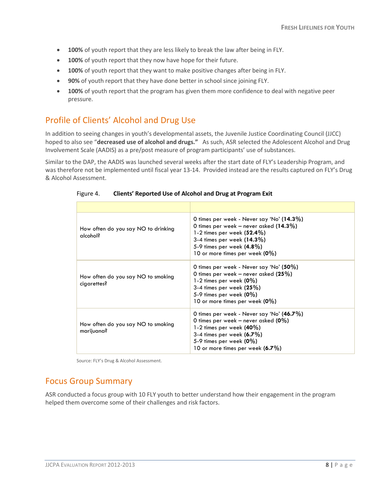- **100%** of youth report that they are less likely to break the law after being in FLY.
- **100%** of youth report that they now have hope for their future.
- **100%** of youth report that they want to make positive changes after being in FLY.
- **90%** of youth report that they have done better in school since joining FLY.
- **100%** of youth report that the program has given them more confidence to deal with negative peer pressure.

## <span id="page-7-0"></span>Profile of Clients' Alcohol and Drug Use

In addition to seeing changes in youth's developmental assets, the Juvenile Justice Coordinating Council (JJCC) hoped to also see "**decreased use of alcohol and drugs."** As such, ASR selected the Adolescent Alcohol and Drug Involvement Scale (AADIS) as a pre/post measure of program participants' use of substances.

Similar to the DAP, the AADIS was launched several weeks after the start date of FLY's Leadership Program, and was therefore not be implemented until fiscal year 13-14. Provided instead are the results captured on FLY's Drug & Alcohol Assessment.

| How often do you say NO to drinking<br>alcohol?   | 0 times per week - Never say 'No' (14.3%)<br>0 times per week – never asked $(14.3\%)$<br>1-2 times per week $(52.4\%)$<br>3-4 times per week $(14.3\%)$<br>5-9 times per week $(4.8\%)$<br>10 or more times per week (0%) |
|---------------------------------------------------|----------------------------------------------------------------------------------------------------------------------------------------------------------------------------------------------------------------------------|
| How often do you say NO to smoking<br>cigarettes? | 0 times per week - Never say 'No' (50%)<br>0 times per week – never asked $(25%)$<br>1-2 times per week (0%)<br>3-4 times per week $(25%)$<br>5-9 times per week $(0\%)$<br>10 or more times per week $(0\%)$              |
| How often do you say NO to smoking<br>marijuana?  | 0 times per week - Never say 'No' (46.7%)<br>0 times per week – never asked $(0\%)$<br>1-2 times per week $(40\%)$<br>3-4 times per week (6.7%)<br>5-9 times per week $(0\%)$<br>10 or more times per week $(6.7\%)$       |

Figure 4. **Clients' Reported Use of Alcohol and Drug at Program Exit**

Source: FLY's Drug & Alcohol Assessment.

### <span id="page-7-1"></span>Focus Group Summary

ASR conducted a focus group with 10 FLY youth to better understand how their engagement in the program helped them overcome some of their challenges and risk factors.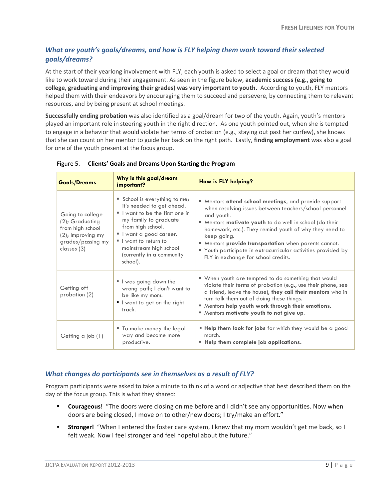### *What are youth's goals/dreams, and how is FLY helping them work toward their selected goals/dreams?*

At the start of their yearlong involvement with FLY, each youth is asked to select a goal or dream that they would like to work toward during their engagement. As seen in the figure below, **academic success (e.g., going to college, graduating and improving their grades) was very important to youth.** According to youth, FLY mentors helped them with their endeavors by encouraging them to succeed and persevere, by connecting them to relevant resources, and by being present at school meetings.

**Successfully ending probation** was also identified as a goal/dream for two of the youth. Again, youth's mentors played an important role in steering youth in the right direction. As one youth pointed out, when she is tempted to engage in a behavior that would violate her terms of probation (e.g., staying out past her curfew), she knows that she can count on her mentor to guide her back on the right path. Lastly, **finding employment** was also a goal for one of the youth present at the focus group.

| <b>Goals/Dreams</b>                                                                                                 | Why is this goal/dream<br>important?                                                                                                                                                                                                                          | How is FLY helping?                                                                                                                                                                                                                                                                                                                                                                                                                        |
|---------------------------------------------------------------------------------------------------------------------|---------------------------------------------------------------------------------------------------------------------------------------------------------------------------------------------------------------------------------------------------------------|--------------------------------------------------------------------------------------------------------------------------------------------------------------------------------------------------------------------------------------------------------------------------------------------------------------------------------------------------------------------------------------------------------------------------------------------|
| Going to college<br>(2); Graduating<br>from high school<br>$(2)$ ; Improving my<br>grades/passing my<br>classes (3) | School is everything to me;<br>it's needed to get ahead.<br>If I want to be the first one in<br>my family to graduate<br>from high school.<br>I want a good career.<br>I want to return to<br>mainstream high school<br>(currently in a community<br>school). | " Mentors attend school meetings, and provide support<br>when resolving issues between teachers/school personnel<br>and youth.<br>" Mentors <b>motivate youth</b> to do well in school (do their<br>homework, etc.). They remind youth of why they need to<br>keep going.<br>" Mentors provide transportation when parents cannot.<br>" Youth participate in extracurricular activities provided by<br>FLY in exchange for school credits. |
| Getting off<br>probation (2)                                                                                        | I was going down the<br>wrong path; I don't want to<br>be like my mom.<br>$\blacksquare$ I want to get on the right<br>track.                                                                                                                                 | " When youth are tempted to do something that would<br>violate their terms of probation (e.g., use their phone, see<br>a friend, leave the house), they call their mentors who in<br>turn talk them out of doing these things.<br>" Mentors help youth work through their emotions.<br>" Mentors motivate youth to not give up.                                                                                                            |
| Getting a job (1)                                                                                                   | " To make money the legal<br>way and become more<br>productive.                                                                                                                                                                                               | " Help them look for jobs for which they would be a good<br>match.<br>" Help them complete job applications.                                                                                                                                                                                                                                                                                                                               |

#### Figure 5. **Clients' Goals and Dreams Upon Starting the Program**

#### *What changes do participants see in themselves as a result of FLY?*

Program participants were asked to take a minute to think of a word or adjective that best described them on the day of the focus group. This is what they shared:

- **Courageous!** "The doors were closing on me before and I didn't see any opportunities. Now when doors are being closed, I move on to other/new doors; I try/make an effort."
- **Stronger!** "When I entered the foster care system, I knew that my mom wouldn't get me back, so I felt weak. Now I feel stronger and feel hopeful about the future."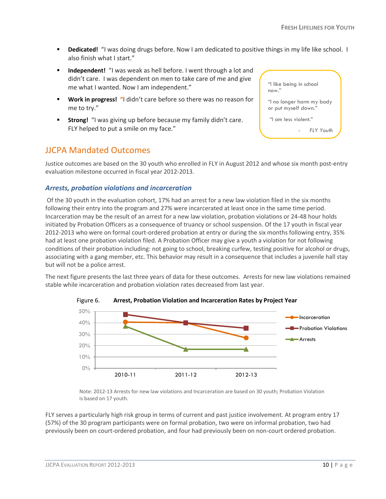- *FLY Youth*

"I like being in school

"I no longer harm my body or put myself down." "I am less violent."

now."

- **Dedicated!** "I was doing drugs before. Now I am dedicated to positive things in my life like school. I also finish what I start."
- **Independent!** "I was weak as hell before. I went through a lot and didn't care. I was dependent on men to take care of me and give me what I wanted. Now I am independent."
- **Work in progress! "**I didn't care before so there was no reason for me to try."
- **Strong!** "I was giving up before because my family didn't care. FLY helped to put a smile on my face."

## <span id="page-9-0"></span>JJCPA Mandated Outcomes

Justice outcomes are based on the 30 youth who enrolled in FLY in August 2012 and whose six month post-entry evaluation milestone occurred in fiscal year 2012-2013.

#### *Arrests, probation violations and incarceration*

Of the 30 youth in the evaluation cohort, 17% had an arrest for a new law violation filed in the six months following their entry into the program and 27% were incarcerated at least once in the same time period. Incarceration may be the result of an arrest for a new law violation, probation violations or 24-48 hour holds initiated by Probation Officers as a consequence of truancy or school suspension. Of the 17 youth in fiscal year 2012-2013 who were on formal court-ordered probation at entry or during the six months following entry, 35% had at least one probation violation filed. A Probation Officer may give a youth a violation for not following conditions of their probation including: not going to school, breaking curfew, testing positive for alcohol or drugs, associating with a gang member, etc. This behavior may result in a consequence that includes a juvenile hall stay but will not be a police arrest.

The next figure presents the last three years of data for these outcomes. Arrests for new law violations remained stable while incarceration and probation violation rates decreased from last year.





Note: 2012-13 Arrests for new law violations and Incarceration are based on 30 youth; Probation Violation is based on 17 youth.

FLY serves a particularly high risk group in terms of current and past justice involvement. At program entry 17 (57%) of the 30 program participants were on formal probation, two were on informal probation, two had previously been on court-ordered probation, and four had previously been on non-court ordered probation.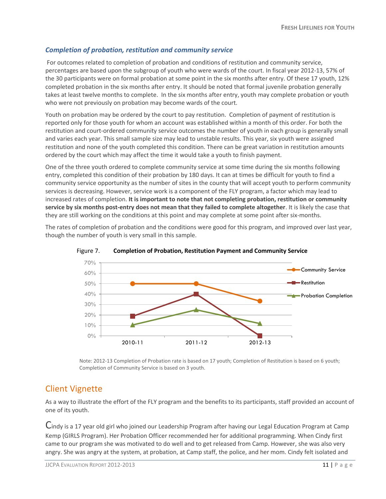### *Completion of probation, restitution and community service*

For outcomes related to completion of probation and conditions of restitution and community service, percentages are based upon the subgroup of youth who were wards of the court. In fiscal year 2012-13, 57% of the 30 participants were on formal probation at some point in the six months after entry. Of these 17 youth, 12% completed probation in the six months after entry. It should be noted that formal juvenile probation generally takes at least twelve months to complete. In the six months after entry, youth may complete probation or youth who were not previously on probation may become wards of the court.

Youth on probation may be ordered by the court to pay restitution. Completion of payment of restitution is reported only for those youth for whom an account was established within a month of this order. For both the restitution and court-ordered community service outcomes the number of youth in each group is generally small and varies each year. This small sample size may lead to unstable results. This year, six youth were assigned restitution and none of the youth completed this condition. There can be great variation in restitution amounts ordered by the court which may affect the time it would take a youth to finish payment.

One of the three youth ordered to complete community service at some time during the six months following entry, completed this condition of their probation by 180 days. It can at times be difficult for youth to find a community service opportunity as the number of sites in the county that will accept youth to perform community services is decreasing. However, service work is a component of the FLY program, a factor which may lead to increased rates of completion. **It is important to note that not completing probation, restitution or community service by six months post-entry does not mean that they failed to complete altogether**. It is likely the case that they are still working on the conditions at this point and may complete at some point after six-months.

The rates of completion of probation and the conditions were good for this program, and improved over last year, though the number of youth is very small in this sample.





Note: 2012-13 Completion of Probation rate is based on 17 youth; Completion of Restitution is based on 6 youth; Completion of Community Service is based on 3 youth.

## <span id="page-10-0"></span>Client Vignette

As a way to illustrate the effort of the FLY program and the benefits to its participants, staff provided an account of one of its youth.

Cindy is a 17 year old girl who joined our Leadership Program after having our Legal Education Program at Camp Kemp (GIRLS Program). Her Probation Officer recommended her for additional programming. When Cindy first came to our program she was motivated to do well and to get released from Camp. However, she was also very angry. She was angry at the system, at probation, at Camp staff, the police, and her mom. Cindy felt isolated and